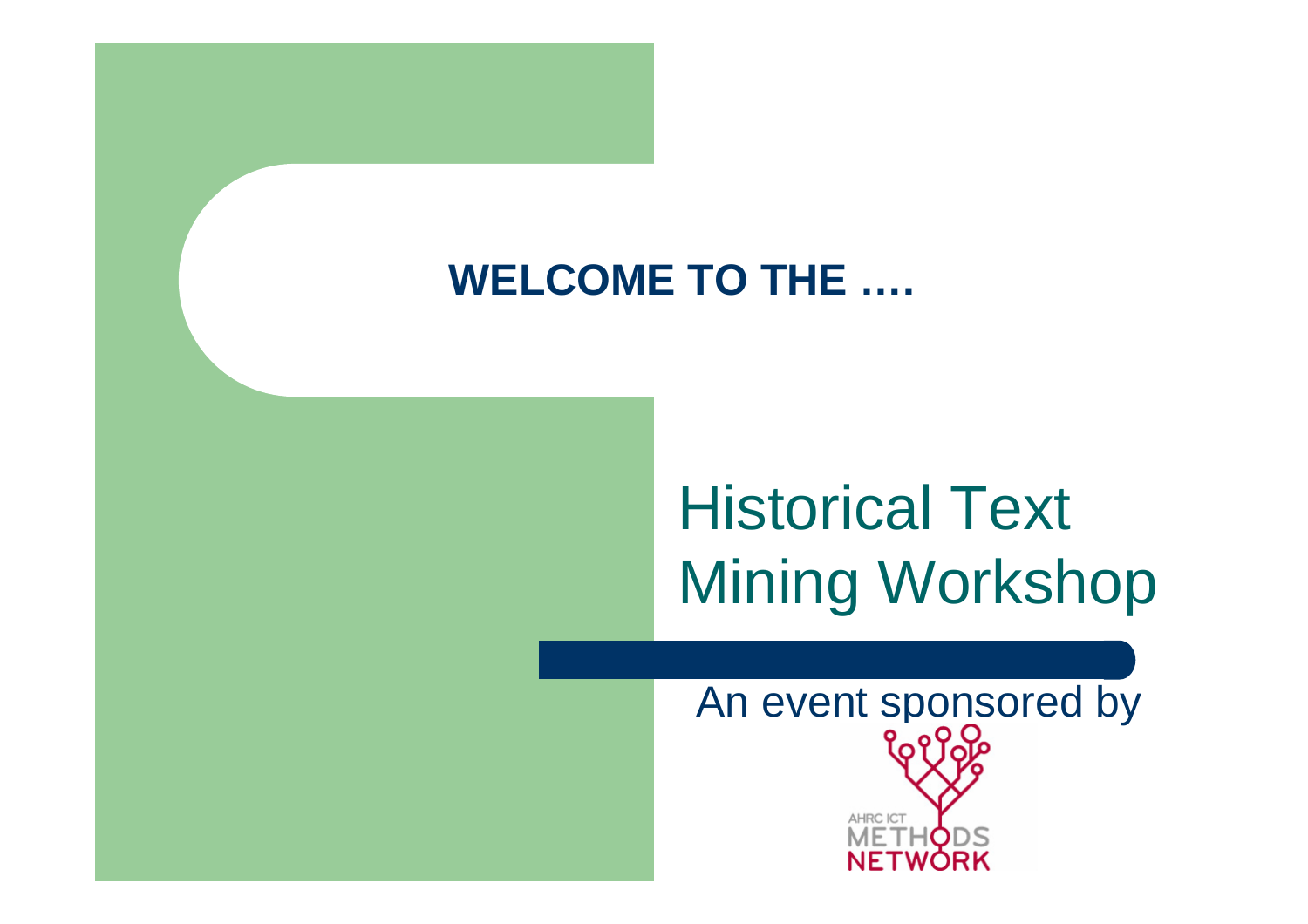### **WELCOME TO THE ….**

# Historical Text Mining Workshop

An event sponsored by**AHRC ICT** WORK NET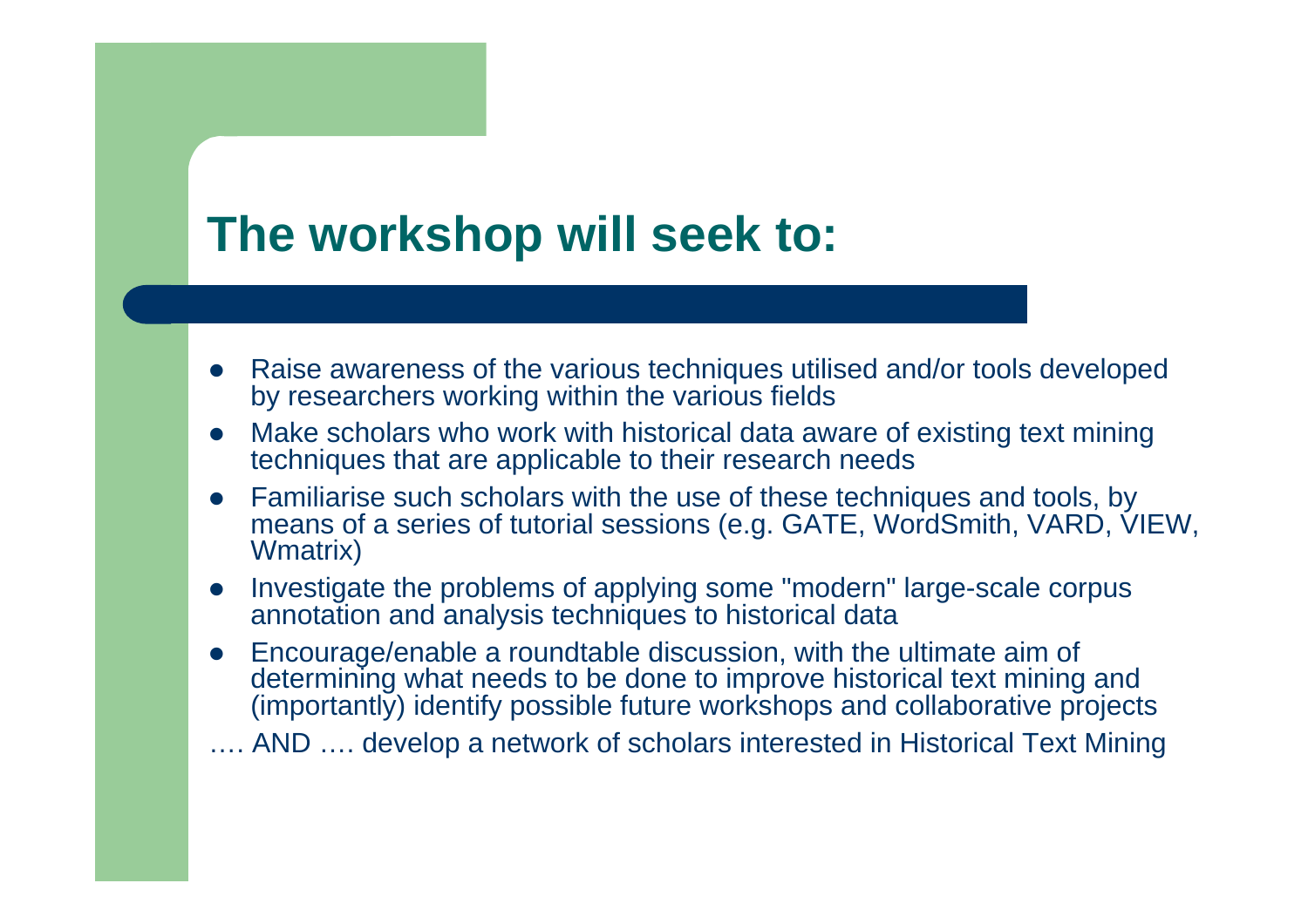## **The workshop will seek to:**

- $\bullet$  Raise awareness of the various techniques utilised and/or tools developed by researchers working within the various fields
- $\bullet$  Make scholars who work with historical data aware of existing text mining techniques that are applicable to their research needs
- $\bullet$  Familiarise such scholars with the use of these techniques and tools, by means of a series of tutorial sessions (e.g. GATE, WordSmith, VARD, VIEW, Wmatrix)
- $\bullet$  Investigate the problems of applying some "modern" large-scale corpus annotation and analysis techniques to historical data
- $\bullet$  Encourage/enable a roundtable discussion, with the ultimate aim of determining what needs to be done to improve historical text mining and (importantly) identify possible future workshops and collaborative projects
- …. AND …. develop a network of scholars interested in Historical Text Mining